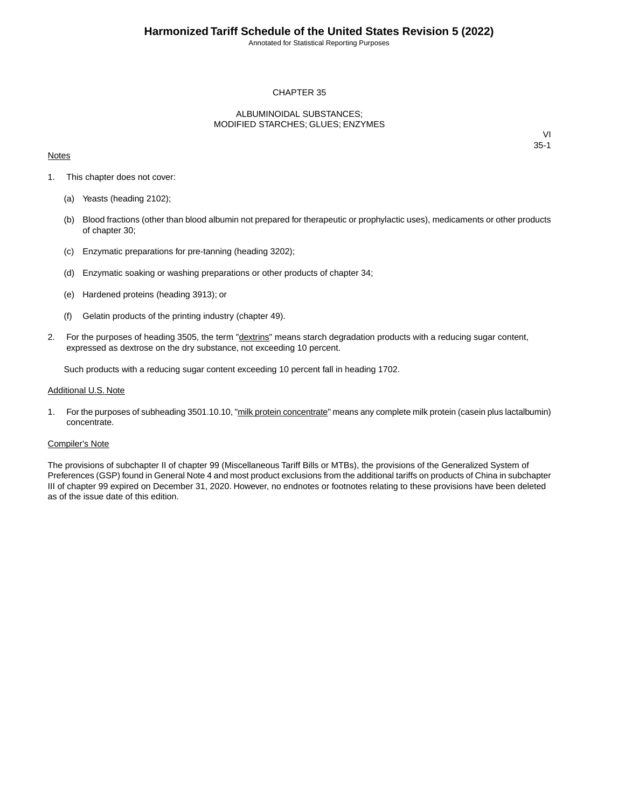Annotated for Statistical Reporting Purposes

## CHAPTER 35

## ALBUMINOIDAL SUBSTANCES; MODIFIED STARCHES; GLUES; ENZYMES

### **Notes**

VI 35-1

- 1. This chapter does not cover:
	- (a) Yeasts (heading 2102);
	- (b) Blood fractions (other than blood albumin not prepared for therapeutic or prophylactic uses), medicaments or other products of chapter 30;
	- (c) Enzymatic preparations for pre-tanning (heading 3202);
	- (d) Enzymatic soaking or washing preparations or other products of chapter 34;
	- (e) Hardened proteins (heading 3913); or
	- (f) Gelatin products of the printing industry (chapter 49).
- 2. For the purposes of heading 3505, the term "dextrins" means starch degradation products with a reducing sugar content, expressed as dextrose on the dry substance, not exceeding 10 percent.

Such products with a reducing sugar content exceeding 10 percent fall in heading 1702.

#### Additional U.S. Note

1. For the purposes of subheading 3501.10.10, "milk protein concentrate" means any complete milk protein (casein plus lactalbumin) concentrate.

#### Compiler's Note

The provisions of subchapter II of chapter 99 (Miscellaneous Tariff Bills or MTBs), the provisions of the Generalized System of Preferences (GSP) found in General Note 4 and most product exclusions from the additional tariffs on products of China in subchapter III of chapter 99 expired on December 31, 2020. However, no endnotes or footnotes relating to these provisions have been deleted as of the issue date of this edition.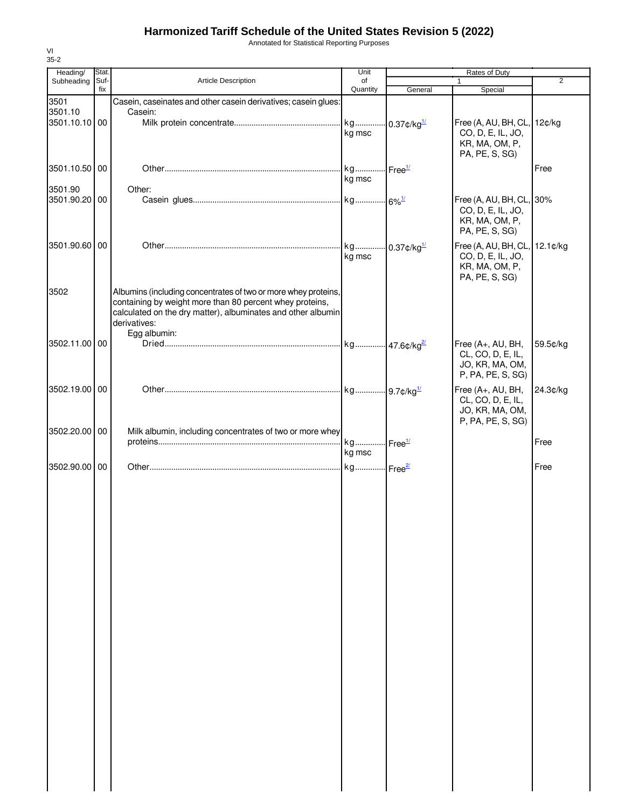# **Harmonized Tariff Schedule of the United States Revision 5 (2022)**

Annotated for Statistical Reporting Purposes

| Heading/      | Stat. |                                                                | Unit                      |                            |                               |          |
|---------------|-------|----------------------------------------------------------------|---------------------------|----------------------------|-------------------------------|----------|
| Subheading    | Suf-  | <b>Article Description</b>                                     | of                        |                            | Rates of Duty                 | 2        |
|               | fix   |                                                                | Quantity                  | General                    | Special                       |          |
| 3501          |       | Casein, caseinates and other casein derivatives; casein glues: |                           |                            |                               |          |
| 3501.10       |       | Casein:                                                        |                           |                            |                               |          |
| 3501.10.10 00 |       |                                                                | kg                        | $-0.37$ ¢/kg <sup>1/</sup> | Free (A, AU, BH, CL, 12¢/kg   |          |
|               |       |                                                                | kg msc                    |                            | CO, D, E, IL, JO,             |          |
|               |       |                                                                |                           |                            | KR, MA, OM, P,                |          |
|               |       |                                                                |                           |                            | PA, PE, S, SG)                |          |
| 3501.10.50 00 |       |                                                                | kg                        | Free <sup>1/</sup>         |                               | Free     |
|               |       |                                                                | kg msc                    |                            |                               |          |
| 3501.90       |       | Other:                                                         |                           |                            |                               |          |
| 3501.90.20 00 |       |                                                                |                           |                            | Free (A, AU, BH, CL,          | 30%      |
|               |       |                                                                |                           |                            | CO, D, E, IL, JO,             |          |
|               |       |                                                                |                           |                            | KR, MA, OM, P,                |          |
|               |       |                                                                |                           |                            | PA, PE, S, SG)                |          |
|               |       |                                                                |                           |                            |                               |          |
| 3501.90.60 00 |       |                                                                | kg 0.37¢/kg <sup>1/</sup> |                            | Free (A, AU, BH, CL, 12.1¢/kg |          |
|               |       |                                                                | kg msc                    |                            | CO, D, E, IL, JO,             |          |
|               |       |                                                                |                           |                            | KR, MA, OM, P,                |          |
|               |       |                                                                |                           |                            | PA, PE, S, SG)                |          |
| 3502          |       | Albumins (including concentrates of two or more whey proteins, |                           |                            |                               |          |
|               |       | containing by weight more than 80 percent whey proteins,       |                           |                            |                               |          |
|               |       | calculated on the dry matter), albuminates and other albumin   |                           |                            |                               |          |
|               |       | derivatives:                                                   |                           |                            |                               |          |
|               |       | Egg albumin:                                                   |                           |                            |                               |          |
| 3502.11.00 00 |       |                                                                |                           |                            | Free (A+, AU, BH,             | 59.5¢/kg |
|               |       |                                                                |                           |                            | CL, CO, D, E, IL,             |          |
|               |       |                                                                |                           |                            | JO, KR, MA, OM,               |          |
|               |       |                                                                |                           |                            | P, PA, PE, S, SG)             |          |
|               |       |                                                                |                           |                            |                               |          |
| 3502.19.00 00 |       |                                                                |                           |                            | Free (A+, AU, BH,             | 24.3¢/kg |
|               |       |                                                                |                           |                            | CL, CO, D, E, IL,             |          |
|               |       |                                                                |                           |                            | JO, KR, MA, OM,               |          |
|               |       |                                                                |                           |                            | P, PA, PE, S, SG)             |          |
| 3502.20.00 00 |       | Milk albumin, including concentrates of two or more whey       |                           |                            |                               |          |
|               |       |                                                                | kg Free <sup>1/</sup>     |                            |                               | Free     |
|               |       |                                                                | kg msc                    |                            |                               |          |
| 3502.90.00 00 |       |                                                                | kg Free <sup>2/</sup>     |                            |                               | Free     |
|               |       |                                                                |                           |                            |                               |          |
|               |       |                                                                |                           |                            |                               |          |
|               |       |                                                                |                           |                            |                               |          |
|               |       |                                                                |                           |                            |                               |          |
|               |       |                                                                |                           |                            |                               |          |
|               |       |                                                                |                           |                            |                               |          |
|               |       |                                                                |                           |                            |                               |          |
|               |       |                                                                |                           |                            |                               |          |
|               |       |                                                                |                           |                            |                               |          |
|               |       |                                                                |                           |                            |                               |          |
|               |       |                                                                |                           |                            |                               |          |
|               |       |                                                                |                           |                            |                               |          |
|               |       |                                                                |                           |                            |                               |          |
|               |       |                                                                |                           |                            |                               |          |
|               |       |                                                                |                           |                            |                               |          |
|               |       |                                                                |                           |                            |                               |          |
|               |       |                                                                |                           |                            |                               |          |
|               |       |                                                                |                           |                            |                               |          |
|               |       |                                                                |                           |                            |                               |          |
|               |       |                                                                |                           |                            |                               |          |
|               |       |                                                                |                           |                            |                               |          |
|               |       |                                                                |                           |                            |                               |          |
|               |       |                                                                |                           |                            |                               |          |
|               |       |                                                                |                           |                            |                               |          |
|               |       |                                                                |                           |                            |                               |          |
|               |       |                                                                |                           |                            |                               |          |
|               |       |                                                                |                           |                            |                               |          |
|               |       |                                                                |                           |                            |                               |          |
|               |       |                                                                |                           |                            |                               |          |
|               |       |                                                                |                           |                            |                               |          |
|               |       |                                                                |                           |                            |                               |          |
|               |       |                                                                |                           |                            |                               |          |

VI 35-2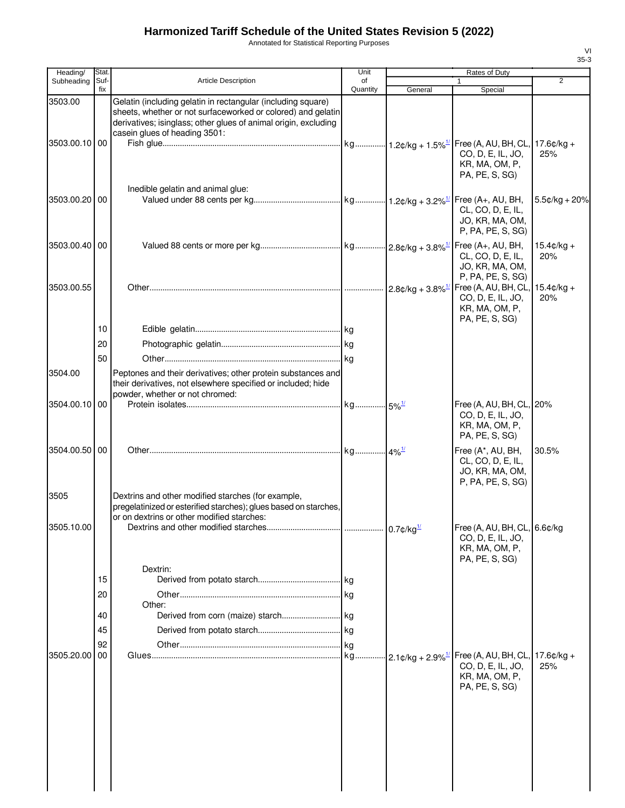# **Harmonized Tariff Schedule of the United States Revision 5 (2022)**

Annotated for Statistical Reporting Purposes

| Heading/      | Stat.       |                                                                                                                                                                                                                                  | Unit           |         |                                                                                                          |                             |
|---------------|-------------|----------------------------------------------------------------------------------------------------------------------------------------------------------------------------------------------------------------------------------|----------------|---------|----------------------------------------------------------------------------------------------------------|-----------------------------|
| Subheading    | Suf-<br>fix | <b>Article Description</b>                                                                                                                                                                                                       | of<br>Quantity | General | $\mathbf{1}$<br>Special                                                                                  | $\overline{2}$              |
| 3503.00       |             | Gelatin (including gelatin in rectangular (including square)<br>sheets, whether or not surfaceworked or colored) and gelatin<br>derivatives; isinglass; other glues of animal origin, excluding<br>casein glues of heading 3501: |                |         |                                                                                                          |                             |
| 3503.00.10 00 |             | Inedible gelatin and animal glue:                                                                                                                                                                                                |                |         | CO, D, E, IL, JO,<br>KR, MA, OM, P,<br>PA, PE, S, SG)                                                    | 25%                         |
| 3503.00.20 00 |             |                                                                                                                                                                                                                                  |                |         | CL, CO, D, E, IL,<br>JO, KR, MA, OM,<br>P, PA, PE, S, SG)                                                | $5.5¢/kg + 20%$             |
| 3503.00.40 00 |             |                                                                                                                                                                                                                                  |                |         | CL, CO, D, E, IL,<br>JO, KR, MA, OM,<br>P, PA, PE, S, SG)                                                | $15.4 \text{c/kg} +$<br>20% |
| 3503.00.55    |             |                                                                                                                                                                                                                                  |                |         | CO, D, E, IL, JO,<br>KR, MA, OM, P,<br>PA, PE, S, SG)                                                    | $15.4 \text{c/kg} +$<br>20% |
|               | 10          |                                                                                                                                                                                                                                  |                |         |                                                                                                          |                             |
|               | 20          |                                                                                                                                                                                                                                  |                |         |                                                                                                          |                             |
|               | 50          |                                                                                                                                                                                                                                  |                |         |                                                                                                          |                             |
| 3504.00       |             | Peptones and their derivatives; other protein substances and<br>their derivatives, not elsewhere specified or included; hide<br>powder, whether or not chromed:                                                                  |                |         |                                                                                                          |                             |
| 3504.00.10 00 |             |                                                                                                                                                                                                                                  |                |         | Free (A, AU, BH, CL, 20%<br>CO, D, E, IL, JO,<br>KR, MA, OM, P,<br>PA, PE, S, SG)                        |                             |
| 3504.00.50 00 |             |                                                                                                                                                                                                                                  |                |         | Free (A*, AU, BH,<br>CL, CO, D, E, IL,<br>JO, KR, MA, OM,<br>P, PA, PE, S, SG)                           | 30.5%                       |
| 3505          |             | Dextrins and other modified starches (for example,<br>pregelatinized or esterified starches); glues based on starches,<br>or on dextrins or other modified starches:                                                             |                |         |                                                                                                          |                             |
| 3505.10.00    |             |                                                                                                                                                                                                                                  |                |         | Free $(A, AU, BH, CL, 6.6¢/kg$<br>CO, D, E, IL, JO,<br>KR, MA, OM, P,<br>PA, PE, S, SG)                  |                             |
|               | 15          | Dextrin:                                                                                                                                                                                                                         |                |         |                                                                                                          |                             |
|               | 20          |                                                                                                                                                                                                                                  | kg             |         |                                                                                                          |                             |
|               |             | Other:                                                                                                                                                                                                                           |                |         |                                                                                                          |                             |
|               | 40          |                                                                                                                                                                                                                                  |                |         |                                                                                                          |                             |
|               | 45          |                                                                                                                                                                                                                                  |                |         |                                                                                                          |                             |
| 3505.20.00 00 | 92          |                                                                                                                                                                                                                                  |                |         |                                                                                                          |                             |
|               |             |                                                                                                                                                                                                                                  |                |         | $-2.1$ ¢/kg + 2.9% $^{11}$ Free (A, AU, BH, CL,<br>CO, D, E, IL, JO,<br>KR, MA, OM, P,<br>PA, PE, S, SG) | $17.6¢/kg +$<br>25%         |
|               |             |                                                                                                                                                                                                                                  |                |         |                                                                                                          |                             |

VI 35-3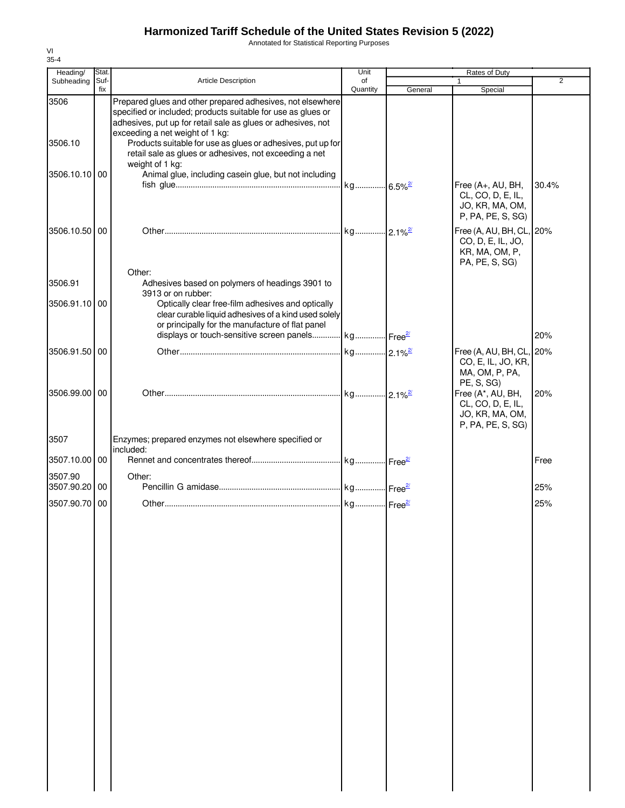# **Harmonized Tariff Schedule of the United States Revision 5 (2022)**

Annotated for Statistical Reporting Purposes

| Heading/                 | Stat.       |                                                                                                                                                                                                                                                                                              | Unit           |         |                                                                                   |                |
|--------------------------|-------------|----------------------------------------------------------------------------------------------------------------------------------------------------------------------------------------------------------------------------------------------------------------------------------------------|----------------|---------|-----------------------------------------------------------------------------------|----------------|
| Subheading               | Suf-<br>fix | Article Description                                                                                                                                                                                                                                                                          | of<br>Quantity | General | $\mathbf{1}$<br>Special                                                           | $\overline{2}$ |
| 3506<br>3506.10          |             | Prepared glues and other prepared adhesives, not elsewhere<br>specified or included; products suitable for use as glues or<br>adhesives, put up for retail sale as glues or adhesives, not<br>exceeding a net weight of 1 kg:<br>Products suitable for use as glues or adhesives, put up for |                |         |                                                                                   |                |
|                          |             | retail sale as glues or adhesives, not exceeding a net<br>weight of 1 kg:                                                                                                                                                                                                                    |                |         |                                                                                   |                |
| 3506.10.10 00            |             | Animal glue, including casein glue, but not including                                                                                                                                                                                                                                        |                |         | Free (A+, AU, BH,<br>CL, CO, D, E, IL,                                            | 30.4%          |
|                          |             |                                                                                                                                                                                                                                                                                              |                |         | JO, KR, MA, OM,<br>P, PA, PE, S, SG)                                              |                |
| 3506.10.50 00            |             |                                                                                                                                                                                                                                                                                              |                |         | Free (A, AU, BH, CL, 20%<br>CO, D, E, IL, JO,<br>KR, MA, OM, P,<br>PA, PE, S, SG) |                |
| 3506.91                  |             | Other:<br>Adhesives based on polymers of headings 3901 to<br>3913 or on rubber:                                                                                                                                                                                                              |                |         |                                                                                   |                |
| 3506.91.10 00            |             | Optically clear free-film adhesives and optically<br>clear curable liquid adhesives of a kind used solely<br>or principally for the manufacture of flat panel                                                                                                                                |                |         |                                                                                   |                |
|                          |             | displays or touch-sensitive screen panels kg Free <sup>21</sup>                                                                                                                                                                                                                              |                |         |                                                                                   | 20%            |
| 3506.91.50 00            |             |                                                                                                                                                                                                                                                                                              |                |         | Free (A, AU, BH, CL, 20%<br>CO, E, IL, JO, KR,<br>MA, OM, P, PA,<br>PE, S, SG)    |                |
| 3506.99.00 00            |             |                                                                                                                                                                                                                                                                                              |                |         | Free (A*, AU, BH,<br>CL, CO, D, E, IL,<br>JO, KR, MA, OM,<br>P, PA, PE, S, SG)    | 20%            |
| 3507                     |             | Enzymes; prepared enzymes not elsewhere specified or<br>included:                                                                                                                                                                                                                            |                |         |                                                                                   |                |
| 3507.10.00 00<br>3507.90 |             | Other:                                                                                                                                                                                                                                                                                       |                |         |                                                                                   | Free           |
| 3507.90.20 00            |             |                                                                                                                                                                                                                                                                                              |                |         |                                                                                   | 25%            |
| 3507.90.70 00            |             |                                                                                                                                                                                                                                                                                              |                |         |                                                                                   | 25%            |
|                          |             |                                                                                                                                                                                                                                                                                              |                |         |                                                                                   |                |
|                          |             |                                                                                                                                                                                                                                                                                              |                |         |                                                                                   |                |
|                          |             |                                                                                                                                                                                                                                                                                              |                |         |                                                                                   |                |
|                          |             |                                                                                                                                                                                                                                                                                              |                |         |                                                                                   |                |
|                          |             |                                                                                                                                                                                                                                                                                              |                |         |                                                                                   |                |
|                          |             |                                                                                                                                                                                                                                                                                              |                |         |                                                                                   |                |
|                          |             |                                                                                                                                                                                                                                                                                              |                |         |                                                                                   |                |
|                          |             |                                                                                                                                                                                                                                                                                              |                |         |                                                                                   |                |
|                          |             |                                                                                                                                                                                                                                                                                              |                |         |                                                                                   |                |
|                          |             |                                                                                                                                                                                                                                                                                              |                |         |                                                                                   |                |
|                          |             |                                                                                                                                                                                                                                                                                              |                |         |                                                                                   |                |

VI 35-4